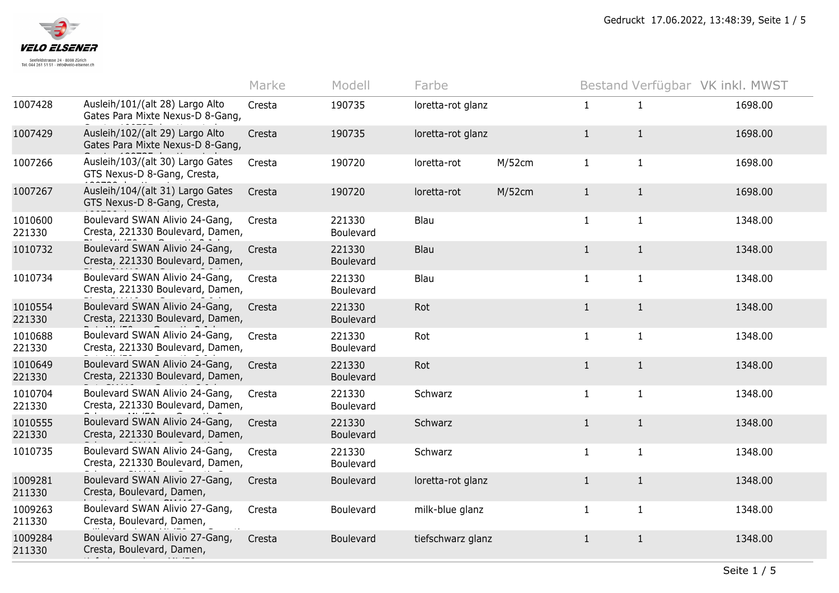

| Ausleih/101/(alt 28) Largo Alto<br>1007428<br>$\mathbf{1}$<br>Cresta<br>190735<br>loretta-rot glanz<br>$\mathbf{1}$<br>1698.00<br>Gates Para Mixte Nexus-D 8-Gang,<br>Ausleih/102/(alt 29) Largo Alto<br>1007429<br>Cresta<br>190735<br>loretta-rot glanz<br>1698.00<br>$\mathbf{1}$<br>$\mathbf{1}$<br>Gates Para Mixte Nexus-D 8-Gang,<br>Ausleih/103/(alt 30) Largo Gates<br>1007266<br>190720<br>M/52cm<br>$\mathbf{1}$<br>1698.00<br>$\mathbf{1}$<br>Cresta<br>loretta-rot<br>GTS Nexus-D 8-Gang, Cresta,<br>Ausleih/104/(alt 31) Largo Gates<br>1007267<br>190720<br>M/52cm<br>$\mathbf{1}$<br>1698.00<br>Cresta<br>loretta-rot<br>$\mathbf{1}$<br>GTS Nexus-D 8-Gang, Cresta,<br>Boulevard SWAN Alivio 24-Gang,<br>1010600<br>221330<br>Blau<br>$\mathbf{1}$<br>1348.00<br>Cresta<br>$\mathbf{1}$<br>Cresta, 221330 Boulevard, Damen,<br>221330<br>Boulevard<br>Boulevard SWAN Alivio 24-Gang,<br>Blau<br>1010732<br>$\mathbf{1}$<br>1348.00<br>Cresta<br>221330<br>$\mathbf{1}$<br>Cresta, 221330 Boulevard, Damen,<br>Boulevard<br>Boulevard SWAN Alivio 24-Gang,<br>1010734<br>Blau<br>$\mathbf{1}$<br>221330<br>1348.00<br>Cresta<br>$\mathbf{1}$<br>Cresta, 221330 Boulevard, Damen,<br>Boulevard<br>Boulevard SWAN Alivio 24-Gang,<br>1010554<br>221330<br>Rot<br>$\mathbf{1}$<br>$\mathbf{1}$<br>1348.00<br>Cresta<br>Cresta, 221330 Boulevard, Damen,<br>221330<br>Boulevard |         |                                | Marke  | Modell | Farbe |              | Bestand Verfügbar VK inkl. MWST |         |
|---------------------------------------------------------------------------------------------------------------------------------------------------------------------------------------------------------------------------------------------------------------------------------------------------------------------------------------------------------------------------------------------------------------------------------------------------------------------------------------------------------------------------------------------------------------------------------------------------------------------------------------------------------------------------------------------------------------------------------------------------------------------------------------------------------------------------------------------------------------------------------------------------------------------------------------------------------------------------------------------------------------------------------------------------------------------------------------------------------------------------------------------------------------------------------------------------------------------------------------------------------------------------------------------------------------------------------------------------------------------------------------------|---------|--------------------------------|--------|--------|-------|--------------|---------------------------------|---------|
|                                                                                                                                                                                                                                                                                                                                                                                                                                                                                                                                                                                                                                                                                                                                                                                                                                                                                                                                                                                                                                                                                                                                                                                                                                                                                                                                                                                             |         |                                |        |        |       |              |                                 |         |
|                                                                                                                                                                                                                                                                                                                                                                                                                                                                                                                                                                                                                                                                                                                                                                                                                                                                                                                                                                                                                                                                                                                                                                                                                                                                                                                                                                                             |         |                                |        |        |       |              |                                 |         |
|                                                                                                                                                                                                                                                                                                                                                                                                                                                                                                                                                                                                                                                                                                                                                                                                                                                                                                                                                                                                                                                                                                                                                                                                                                                                                                                                                                                             |         |                                |        |        |       |              |                                 |         |
|                                                                                                                                                                                                                                                                                                                                                                                                                                                                                                                                                                                                                                                                                                                                                                                                                                                                                                                                                                                                                                                                                                                                                                                                                                                                                                                                                                                             |         |                                |        |        |       |              |                                 |         |
|                                                                                                                                                                                                                                                                                                                                                                                                                                                                                                                                                                                                                                                                                                                                                                                                                                                                                                                                                                                                                                                                                                                                                                                                                                                                                                                                                                                             |         |                                |        |        |       |              |                                 |         |
|                                                                                                                                                                                                                                                                                                                                                                                                                                                                                                                                                                                                                                                                                                                                                                                                                                                                                                                                                                                                                                                                                                                                                                                                                                                                                                                                                                                             |         |                                |        |        |       |              |                                 |         |
|                                                                                                                                                                                                                                                                                                                                                                                                                                                                                                                                                                                                                                                                                                                                                                                                                                                                                                                                                                                                                                                                                                                                                                                                                                                                                                                                                                                             |         |                                |        |        |       |              |                                 |         |
|                                                                                                                                                                                                                                                                                                                                                                                                                                                                                                                                                                                                                                                                                                                                                                                                                                                                                                                                                                                                                                                                                                                                                                                                                                                                                                                                                                                             |         |                                |        |        |       |              |                                 |         |
| Cresta, 221330 Boulevard, Damen,<br>221330<br>Boulevard                                                                                                                                                                                                                                                                                                                                                                                                                                                                                                                                                                                                                                                                                                                                                                                                                                                                                                                                                                                                                                                                                                                                                                                                                                                                                                                                     | 1010688 | Boulevard SWAN Alivio 24-Gang, | Cresta | 221330 | Rot   | $\mathbf{1}$ | $\mathbf{1}$                    | 1348.00 |
| Boulevard SWAN Alivio 24-Gang,<br>1010649<br>Rot<br>$\mathbf{1}$<br>Cresta<br>221330<br>$\mathbf{1}$<br>1348.00<br>Cresta, 221330 Boulevard, Damen,<br>221330<br>Boulevard                                                                                                                                                                                                                                                                                                                                                                                                                                                                                                                                                                                                                                                                                                                                                                                                                                                                                                                                                                                                                                                                                                                                                                                                                  |         |                                |        |        |       |              |                                 |         |
| 1010704<br>Boulevard SWAN Alivio 24-Gang,<br>221330<br>$\mathbf{1}$<br>Cresta<br>Schwarz<br>1348.00<br>$\mathbf{1}$<br>Cresta, 221330 Boulevard, Damen,<br>221330<br>Boulevard                                                                                                                                                                                                                                                                                                                                                                                                                                                                                                                                                                                                                                                                                                                                                                                                                                                                                                                                                                                                                                                                                                                                                                                                              |         |                                |        |        |       |              |                                 |         |
| Boulevard SWAN Alivio 24-Gang,<br>1010555<br>$\mathbf{1}$<br>221330<br>Schwarz<br>1348.00<br>Cresta<br>$\mathbf{1}$<br>Cresta, 221330 Boulevard, Damen,<br>221330<br>Boulevard                                                                                                                                                                                                                                                                                                                                                                                                                                                                                                                                                                                                                                                                                                                                                                                                                                                                                                                                                                                                                                                                                                                                                                                                              |         |                                |        |        |       |              |                                 |         |
| Boulevard SWAN Alivio 24-Gang,<br>1010735<br>221330<br>Schwarz<br>$\mathbf{1}$<br>1348.00<br>Cresta<br>$\mathbf{1}$<br>Cresta, 221330 Boulevard, Damen,<br>Boulevard                                                                                                                                                                                                                                                                                                                                                                                                                                                                                                                                                                                                                                                                                                                                                                                                                                                                                                                                                                                                                                                                                                                                                                                                                        |         |                                |        |        |       |              |                                 |         |
| Boulevard SWAN Alivio 27-Gang,<br>1009281<br>Boulevard<br>loretta-rot glanz<br>$\mathbf{1}$<br>$\mathbf{1}$<br>1348.00<br>Cresta<br>211330<br>Cresta, Boulevard, Damen,                                                                                                                                                                                                                                                                                                                                                                                                                                                                                                                                                                                                                                                                                                                                                                                                                                                                                                                                                                                                                                                                                                                                                                                                                     |         |                                |        |        |       |              |                                 |         |
| Boulevard SWAN Alivio 27-Gang,<br>1009263<br>$\mathbf{1}$<br>1348.00<br>Boulevard<br>milk-blue glanz<br>Cresta<br>$\mathbf{1}$<br>Cresta, Boulevard, Damen,<br>211330                                                                                                                                                                                                                                                                                                                                                                                                                                                                                                                                                                                                                                                                                                                                                                                                                                                                                                                                                                                                                                                                                                                                                                                                                       |         |                                |        |        |       |              |                                 |         |
| Boulevard SWAN Alivio 27-Gang,<br>1009284<br>$\mathbf{1}$<br>1348.00<br>Boulevard<br>tiefschwarz glanz<br>$\mathbf{1}$<br>Cresta<br>Cresta, Boulevard, Damen,<br>211330                                                                                                                                                                                                                                                                                                                                                                                                                                                                                                                                                                                                                                                                                                                                                                                                                                                                                                                                                                                                                                                                                                                                                                                                                     |         |                                |        |        |       |              |                                 |         |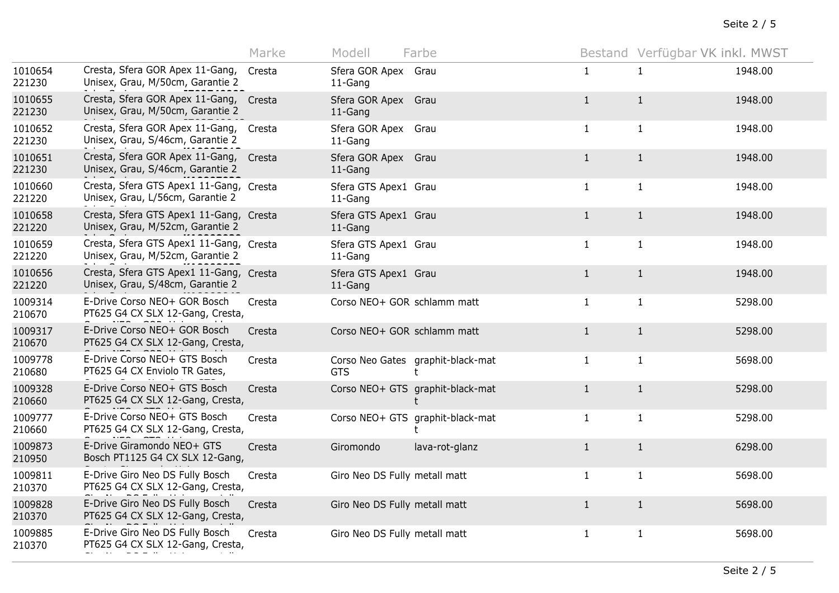|                   |                                                                             | Marke  | Modell                          | Farbe                                 |              | Bestand Verfügbar VK inkl. MWST |         |
|-------------------|-----------------------------------------------------------------------------|--------|---------------------------------|---------------------------------------|--------------|---------------------------------|---------|
| 1010654<br>221230 | Cresta, Sfera GOR Apex 11-Gang,<br>Unisex, Grau, M/50cm, Garantie 2         | Cresta | Sfera GOR Apex Grau<br>11-Gang  |                                       | $\mathbf{1}$ | $\mathbf{1}$                    | 1948.00 |
| 1010655<br>221230 | Cresta, Sfera GOR Apex 11-Gang, Cresta<br>Unisex, Grau, M/50cm, Garantie 2  |        | Sfera GOR Apex Grau<br>11-Gang  |                                       | $\mathbf{1}$ | $\mathbf{1}$                    | 1948.00 |
| 1010652<br>221230 | Cresta, Sfera GOR Apex 11-Gang,<br>Unisex, Grau, S/46cm, Garantie 2         | Cresta | Sfera GOR Apex Grau<br>11-Gang  |                                       | $\mathbf{1}$ | $\mathbf{1}$                    | 1948.00 |
| 1010651<br>221230 | Cresta, Sfera GOR Apex 11-Gang,<br>Unisex, Grau, S/46cm, Garantie 2         | Cresta | Sfera GOR Apex Grau<br>11-Gang  |                                       | $\mathbf{1}$ | $\mathbf{1}$                    | 1948.00 |
| 1010660<br>221220 | Cresta, Sfera GTS Apex1 11-Gang, Cresta<br>Unisex, Grau, L/56cm, Garantie 2 |        | Sfera GTS Apex1 Grau<br>11-Gang |                                       | $\mathbf{1}$ | $\mathbf{1}$                    | 1948.00 |
| 1010658<br>221220 | Cresta, Sfera GTS Apex1 11-Gang, Cresta<br>Unisex, Grau, M/52cm, Garantie 2 |        | Sfera GTS Apex1 Grau<br>11-Gang |                                       | $\mathbf{1}$ | $\mathbf{1}$                    | 1948.00 |
| 1010659<br>221220 | Cresta, Sfera GTS Apex1 11-Gang, Cresta<br>Unisex, Grau, M/52cm, Garantie 2 |        | Sfera GTS Apex1 Grau<br>11-Gang |                                       | $\mathbf{1}$ | $\mathbf{1}$                    | 1948.00 |
| 1010656<br>221220 | Cresta, Sfera GTS Apex1 11-Gang, Cresta<br>Unisex, Grau, S/48cm, Garantie 2 |        | Sfera GTS Apex1 Grau<br>11-Gang |                                       | $\mathbf{1}$ | $\mathbf{1}$                    | 1948.00 |
| 1009314<br>210670 | E-Drive Corso NEO+ GOR Bosch<br>PT625 G4 CX SLX 12-Gang, Cresta,            | Cresta | Corso NEO+ GOR schlamm matt     |                                       | $\mathbf{1}$ | $\mathbf{1}$                    | 5298.00 |
| 1009317<br>210670 | E-Drive Corso NEO+ GOR Bosch<br>PT625 G4 CX SLX 12-Gang, Cresta,            | Cresta | Corso NEO+ GOR schlamm matt     |                                       | $\mathbf{1}$ | $\mathbf{1}$                    | 5298.00 |
| 1009778<br>210680 | E-Drive Corso NEO+ GTS Bosch<br>PT625 G4 CX Enviolo TR Gates,               | Cresta | <b>GTS</b>                      | Corso Neo Gates graphit-black-mat     | $\mathbf{1}$ | $\mathbf{1}$                    | 5698.00 |
| 1009328<br>210660 | E-Drive Corso NEO+ GTS Bosch<br>PT625 G4 CX SLX 12-Gang, Cresta,            | Cresta |                                 | Corso NEO+ GTS graphit-black-mat      | $\mathbf{1}$ | $\mathbf{1}$                    | 5298.00 |
| 1009777<br>210660 | E-Drive Corso NEO+ GTS Bosch<br>PT625 G4 CX SLX 12-Gang, Cresta,            | Cresta |                                 | Corso NEO+ GTS graphit-black-mat<br>t | $\mathbf{1}$ | $\mathbf{1}$                    | 5298.00 |
| 1009873<br>210950 | E-Drive Giramondo NEO+ GTS<br>Bosch PT1125 G4 CX SLX 12-Gang,               | Cresta | Giromondo                       | lava-rot-glanz                        | $\mathbf{1}$ | $\mathbf{1}$                    | 6298.00 |
| 1009811<br>210370 | E-Drive Giro Neo DS Fully Bosch<br>PT625 G4 CX SLX 12-Gang, Cresta,         | Cresta | Giro Neo DS Fully metall matt   |                                       | $\mathbf{1}$ | $\mathbf{1}$                    | 5698.00 |
| 1009828<br>210370 | E-Drive Giro Neo DS Fully Bosch<br>PT625 G4 CX SLX 12-Gang, Cresta,         | Cresta | Giro Neo DS Fully metall matt   |                                       | $\mathbf{1}$ | $\mathbf{1}$                    | 5698.00 |
| 1009885<br>210370 | E-Drive Giro Neo DS Fully Bosch<br>PT625 G4 CX SLX 12-Gang, Cresta,         | Cresta | Giro Neo DS Fully metall matt   |                                       | $\mathbf{1}$ | $\mathbf{1}$                    | 5698.00 |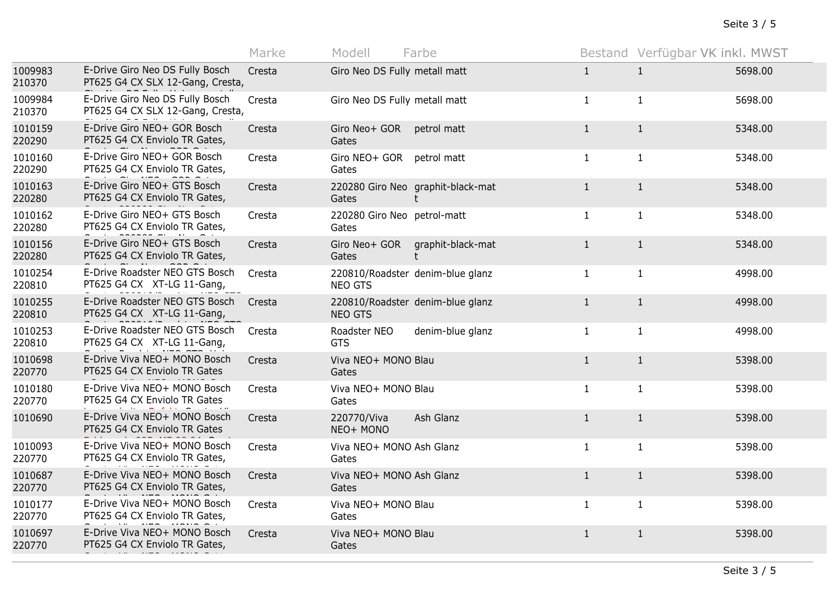|                   |                                                                     | Marke  | Modell                               | Farbe                                  |              | Bestand Verfügbar VK inkl. MWST |         |
|-------------------|---------------------------------------------------------------------|--------|--------------------------------------|----------------------------------------|--------------|---------------------------------|---------|
| 1009983<br>210370 | E-Drive Giro Neo DS Fully Bosch<br>PT625 G4 CX SLX 12-Gang, Cresta, | Cresta | Giro Neo DS Fully metall matt        |                                        | $\mathbf{1}$ | $\mathbf{1}$                    | 5698.00 |
| 1009984<br>210370 | E-Drive Giro Neo DS Fully Bosch<br>PT625 G4 CX SLX 12-Gang, Cresta, | Cresta | Giro Neo DS Fully metall matt        |                                        | $\mathbf{1}$ | $\mathbf{1}$                    | 5698.00 |
| 1010159<br>220290 | E-Drive Giro NEO+ GOR Bosch<br>PT625 G4 CX Enviolo TR Gates,        | Cresta | Giro Neo+ GOR<br>Gates               | petrol matt                            | $\mathbf{1}$ | $\mathbf{1}$                    | 5348.00 |
| 1010160<br>220290 | E-Drive Giro NEO+ GOR Bosch<br>PT625 G4 CX Enviolo TR Gates,        | Cresta | Giro NEO+ GOR<br>Gates               | petrol matt                            | $\mathbf{1}$ | $\mathbf{1}$                    | 5348.00 |
| 1010163<br>220280 | E-Drive Giro NEO+ GTS Bosch<br>PT625 G4 CX Enviolo TR Gates,        | Cresta | Gates                                | 220280 Giro Neo graphit-black-mat<br>t | $\mathbf{1}$ | $\mathbf{1}$                    | 5348.00 |
| 1010162<br>220280 | E-Drive Giro NEO+ GTS Bosch<br>PT625 G4 CX Enviolo TR Gates,        | Cresta | 220280 Giro Neo petrol-matt<br>Gates |                                        | $\mathbf{1}$ | $\mathbf{1}$                    | 5348.00 |
| 1010156<br>220280 | E-Drive Giro NEO+ GTS Bosch<br>PT625 G4 CX Enviolo TR Gates,        | Cresta | Giro Neo+ GOR<br>Gates               | graphit-black-mat<br>t                 | $\mathbf{1}$ | $\mathbf{1}$                    | 5348.00 |
| 1010254<br>220810 | E-Drive Roadster NEO GTS Bosch<br>PT625 G4 CX XT-LG 11-Gang,        | Cresta | NEO GTS                              | 220810/Roadster denim-blue glanz       | $\mathbf{1}$ | $\mathbf{1}$                    | 4998.00 |
| 1010255<br>220810 | E-Drive Roadster NEO GTS Bosch<br>PT625 G4 CX XT-LG 11-Gang,        | Cresta | <b>NEO GTS</b>                       | 220810/Roadster denim-blue glanz       | $\mathbf{1}$ | $\mathbf{1}$                    | 4998.00 |
| 1010253<br>220810 | E-Drive Roadster NEO GTS Bosch<br>PT625 G4 CX XT-LG 11-Gang,        | Cresta | Roadster NEO<br><b>GTS</b>           | denim-blue glanz                       | $\mathbf{1}$ | $\mathbf{1}$                    | 4998.00 |
| 1010698<br>220770 | E-Drive Viva NEO+ MONO Bosch<br>PT625 G4 CX Enviolo TR Gates        | Cresta | Viva NEO+ MONO Blau<br>Gates         |                                        | $\mathbf{1}$ | $\mathbf{1}$                    | 5398.00 |
| 1010180<br>220770 | E-Drive Viva NEO+ MONO Bosch<br>PT625 G4 CX Enviolo TR Gates        | Cresta | Viva NEO+ MONO Blau<br>Gates         |                                        | $\mathbf{1}$ | $\mathbf{1}$                    | 5398.00 |
| 1010690           | E-Drive Viva NEO+ MONO Bosch<br>PT625 G4 CX Enviolo TR Gates        | Cresta | 220770/Viva<br>NEO+ MONO             | Ash Glanz                              | $\mathbf{1}$ | $\mathbf{1}$                    | 5398.00 |
| 1010093<br>220770 | E-Drive Viva NEO+ MONO Bosch<br>PT625 G4 CX Enviolo TR Gates,       | Cresta | Viva NEO+ MONO Ash Glanz<br>Gates    |                                        | $\mathbf{1}$ | $\mathbf{1}$                    | 5398.00 |
| 1010687<br>220770 | E-Drive Viva NEO+ MONO Bosch<br>PT625 G4 CX Enviolo TR Gates,       | Cresta | Viva NEO+ MONO Ash Glanz<br>Gates    |                                        | $\mathbf{1}$ | $\mathbf{1}$                    | 5398.00 |
| 1010177<br>220770 | E-Drive Viva NEO+ MONO Bosch<br>PT625 G4 CX Enviolo TR Gates,       | Cresta | Viva NEO+ MONO Blau<br>Gates         |                                        | $\mathbf{1}$ | $\mathbf{1}$                    | 5398.00 |
| 1010697<br>220770 | E-Drive Viva NEO+ MONO Bosch<br>PT625 G4 CX Enviolo TR Gates,       | Cresta | Viva NEO+ MONO Blau<br>Gates         |                                        | $\mathbf{1}$ | $\mathbf{1}$                    | 5398.00 |
|                   |                                                                     |        |                                      |                                        |              |                                 |         |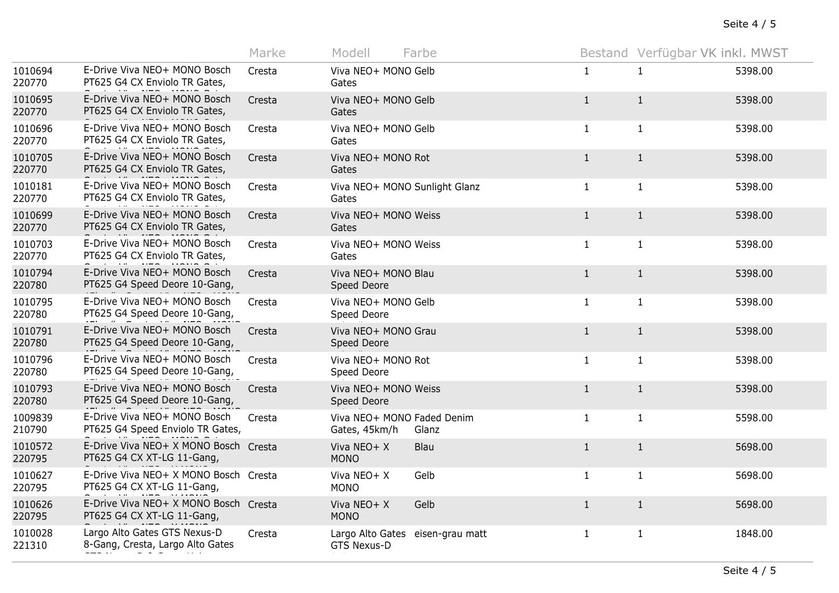|                   |                                                                     | Marke  | Modell                                      | Farbe                            |              | Bestand Verfügbar VK inkl. MWST |         |
|-------------------|---------------------------------------------------------------------|--------|---------------------------------------------|----------------------------------|--------------|---------------------------------|---------|
| 1010694<br>220770 | E-Drive Viva NEO+ MONO Bosch<br>PT625 G4 CX Enviolo TR Gates,       | Cresta | Viva NEO+ MONO Gelb<br>Gates                |                                  | $\mathbf{1}$ | $\mathbf{1}$                    | 5398.00 |
| 1010695<br>220770 | E-Drive Viva NEO+ MONO Bosch<br>PT625 G4 CX Enviolo TR Gates,       | Cresta | Viva NEO+ MONO Gelb<br>Gates                |                                  | $\mathbf{1}$ | $\mathbf{1}$                    | 5398.00 |
| 1010696<br>220770 | E-Drive Viva NEO+ MONO Bosch<br>PT625 G4 CX Enviolo TR Gates,       | Cresta | Viva NEO+ MONO Gelb<br>Gates                |                                  | $\mathbf{1}$ | $\mathbf{1}$                    | 5398.00 |
| 1010705<br>220770 | E-Drive Viva NEO+ MONO Bosch<br>PT625 G4 CX Enviolo TR Gates,       | Cresta | Viva NEO+ MONO Rot<br>Gates                 |                                  | $\mathbf{1}$ | $\mathbf{1}$                    | 5398.00 |
| 1010181<br>220770 | E-Drive Viva NEO+ MONO Bosch<br>PT625 G4 CX Enviolo TR Gates,       | Cresta | Viva NEO+ MONO Sunlight Glanz<br>Gates      |                                  | $\mathbf{1}$ | $\mathbf{1}$                    | 5398.00 |
| 1010699<br>220770 | E-Drive Viva NEO+ MONO Bosch<br>PT625 G4 CX Enviolo TR Gates,       | Cresta | Viva NEO+ MONO Weiss<br>Gates               |                                  | $\mathbf{1}$ | $\mathbf{1}$                    | 5398.00 |
| 1010703<br>220770 | E-Drive Viva NEO+ MONO Bosch<br>PT625 G4 CX Enviolo TR Gates,       | Cresta | Viva NEO+ MONO Weiss<br>Gates               |                                  | $\mathbf{1}$ | $\mathbf{1}$                    | 5398.00 |
| 1010794<br>220780 | E-Drive Viva NEO+ MONO Bosch<br>PT625 G4 Speed Deore 10-Gang,       | Cresta | Viva NEO+ MONO Blau<br>Speed Deore          |                                  | $\mathbf{1}$ | $\mathbf{1}$                    | 5398.00 |
| 1010795<br>220780 | E-Drive Viva NEO+ MONO Bosch<br>PT625 G4 Speed Deore 10-Gang,       | Cresta | Viva NEO+ MONO Gelb<br>Speed Deore          |                                  | 1            | $\mathbf{1}$                    | 5398.00 |
| 1010791<br>220780 | E-Drive Viva NEO+ MONO Bosch<br>PT625 G4 Speed Deore 10-Gang,       | Cresta | Viva NEO+ MONO Grau<br>Speed Deore          |                                  | $\mathbf{1}$ | $\mathbf{1}$                    | 5398.00 |
| 1010796<br>220780 | E-Drive Viva NEO+ MONO Bosch<br>PT625 G4 Speed Deore 10-Gang,       | Cresta | Viva NEO+ MONO Rot<br>Speed Deore           |                                  | $\mathbf{1}$ | $\mathbf{1}$                    | 5398.00 |
| 1010793<br>220780 | E-Drive Viva NEO+ MONO Bosch<br>PT625 G4 Speed Deore 10-Gang,       | Cresta | Viva NEO+ MONO Weiss<br>Speed Deore         |                                  | $\mathbf{1}$ | $\mathbf{1}$                    | 5398.00 |
| 1009839<br>210790 | E-Drive Viva NEO+ MONO Bosch<br>PT625 G4 Speed Enviolo TR Gates,    | Cresta | Viva NEO+ MONO Faded Denim<br>Gates, 45km/h | Glanz                            | $\mathbf{1}$ | $\mathbf{1}$                    | 5598.00 |
| 1010572<br>220795 | E-Drive Viva NEO+ X MONO Bosch Cresta<br>PT625 G4 CX XT-LG 11-Gang, |        | Viva NEO+ X<br><b>MONO</b>                  | Blau                             | $\mathbf{1}$ | $\mathbf{1}$                    | 5698.00 |
| 1010627<br>220795 | E-Drive Viva NEO+ X MONO Bosch Cresta<br>PT625 G4 CX XT-LG 11-Gang, |        | Viva NEO+ X<br><b>MONO</b>                  | Gelb                             | $\mathbf{1}$ | $\mathbf{1}$                    | 5698.00 |
| 1010626<br>220795 | E-Drive Viva NEO+ X MONO Bosch Cresta<br>PT625 G4 CX XT-LG 11-Gang, |        | Viva NEO+ X<br><b>MONO</b>                  | Gelb                             | $\mathbf{1}$ | $\mathbf{1}$                    | 5698.00 |
| 1010028<br>221310 | Largo Alto Gates GTS Nexus-D<br>8-Gang, Cresta, Largo Alto Gates    | Cresta | GTS Nexus-D                                 | Largo Alto Gates eisen-grau matt | $\mathbf{1}$ | $\mathbf{1}$                    | 1848.00 |